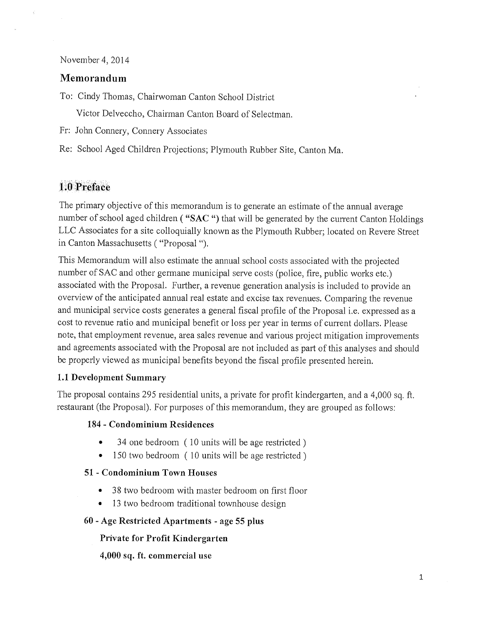November 4, 2014

# Memorandum

To: Cindy Thomas, Chairwoman Canton School District

Victor Delveccho, Chairman Canton Board of Selectman.

- Fr: John Connery, Connery Associates
- Re: School Aged Children Projections; Plymouth Rubber Site, Canton Ma.

# 1.0 Preface

The primary objective of this memorandum is to generate an estimate of the annual average number of school aged children ("SAC") that will be generated by the current Canton Holdings LLC Associates for a site colloquially known as the Plymouth Rubber; located on Revere Street in Canton Massachusetts ( "Proposal ").

This Memorandum will also estimate the annual school costs associated with the projected number of SAC and other germane municipal serve costs (police, fire, public works etc.) associated with the Proposal. Further, a revenue generation analysis is included to provide an overview of the anticipated annual real estate and excise tax revenues. Comparing the revenue and municipal service costs generates a general fiscal profile of the Proposal i.e. expressed as a cost to revenue ratio and municipal benefit or loss per year in terms of current dollars. Please note, that employment revenue, area sales revenue and various project mitigation improvements and agreements associated with the Proposal are not included as part of this analyses and should be properly viewed as municipal benefits beyond the fiscal profile presented herein.

## 1.1 Development Summary

The proposal contains 295 residential units, a private for profit kindergarten, and a 4,000 sq. ft. restaurant (the Proposal). For purposes of this memorandum, they are grouped as follows:

## 184 - Condominium Residences

- 34 one bedroom (10 units will be age restricted)
- 150 two bedroom (10 units will be age restricted)

## 51 - Condominium Town Houses

- 38 two bedroom with master bedroom on first floor
- 13 two bedroom traditional townhouse design

### 60 - Age Restricted Apartments - age 55 plus

## Private for Profit Kindergarten

4,000 sq. ft. commercial use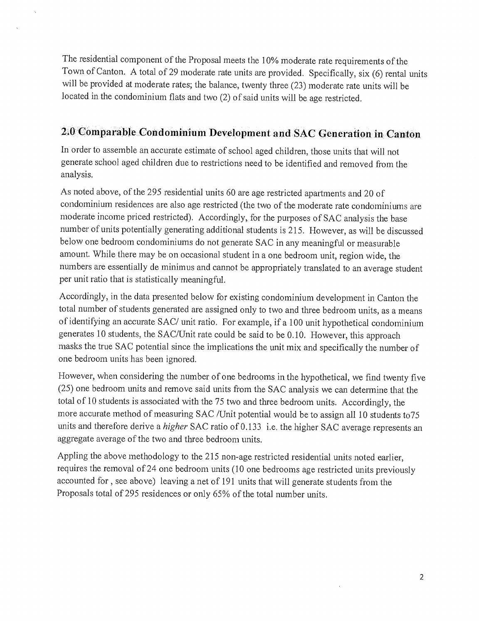The residential component of the Proposal meets the 10% moderate rate requirements of the Town of Canton. A total of 29 moderate rate units are provided. Specifically, six (6) rental units will be provided at moderate rates; the balance, twenty three (23) moderate rate units will be located in the condominium flats and two (2) of said units will be age restricted.

# 2.0-Comparable Condominium Development and SAC Generation in Canton

In order to assemble an accurate estimate of school aged children, those units that will not generate school aged children due to restrictions need to be identified and removed from the analysis.

As noted above, of the 295 residential units 60 are age restricted apartments and 20 of condominium residences are also age restricted (the two of the moderate rate condominiums are moderate income priced restricted). Accordingly, for the purposes of SAC analysis the base number of units potentially generating additional students is 215. However, as will be discussed below one bedroom condominiums do not generate SAC in any meaningful or measurable amount. While there may be on occasional student in a one bedroom unit, region wide, the numbers are essentially de minimus and cannot be appropriately translated to an average student per unit ratio that is statistically meaningful.

Accordingly, in the data presented below for existing condominium development in Canton the total number of students generated are assigned only to two and three bedroom units, as a means of identifying an accurate SAC/ unit ratio. For example, if a 100 unit hypothetical condominium generates 10 students, the SAC/Unit rate could be said to be 0.10. However, this approach masks the true SAC potential since the implications the unit mix and specifically the number of one bedroom units has been ignored.

However, when considering the number of one bedrooms in the hypothetical, we find twenty five (25) one bedroom units and remove said units from the SAC analysis we can determine that the total of 10 students is associated with the 75 two and three bedroom units. Accordingly, the more accurate method of measuring SAC /Unit potential would be to assign all 10 students to75 units and therefore derive a *higher* SAC ratio of 0.133 i.e. the higher SAC average represents an aggregate average of the two and three bedroom units.

Appling the above methodology to the 215 non-age restricted residential units noted earlier, requires the removal of 24 one bedroom units (10 one bedrooms age restricted units previously accounted for, see above) leaving a net of 191 units that will generate students from the Proposals total of 295 residences or only 65% of the total number units.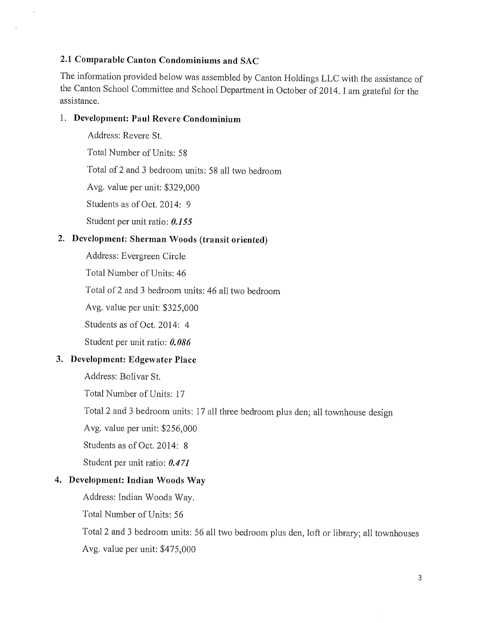### 2.1 Comparable Canton Condominiums and SAC

The information provided below was assembled by Canton Holdings LLC with the assistance of the Canton School Committee and School Department in October of 2014. I am grateful for the assistance.

#### 1. Development: Paul Revere Condominium

Address: Revere St.

Total Number of Units: 58

Total of 2 and 3 bedroom units: 58 all two bedroom

Avg. value per unit: \$329,000

Students as of Oct. 2014: 9

Student per unit ratio: 0.155

# 2. Development: Sherman Woods (transit oriented)

Address: Evergreen Circle

Total Number of Units: 46

Total of 2 and 3 bedroom units: 46 all two bedroom

Avg. value per unit: \$325,000

Students as of Oct. 2014: 4

Student per unit ratio: 0.086

### 3. Development: Edgewater Place

Address: Bolivar St.

Total Number of Units: 17

Total 2 and 3 bedroom units: 17 all three bedroom plus den; all townhouse design

Avg. value per unit: \$256,000

Students as of Oct. 2014: 8

Student per unit ratio: 0.471

### 4. Development: Indian Woods Way

Address: Indian Woods Way.

Total Number of Units: 56

Total 2 and 3 bedroom units: 56 all two bedroom plus den, loft or library; all townhouses Avg. value per unit: \$475,000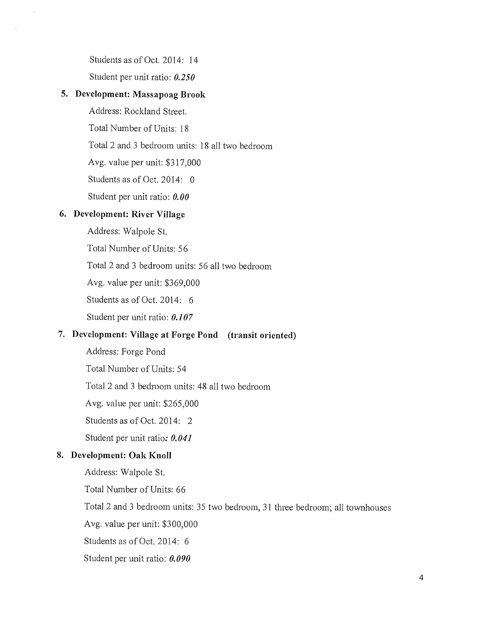Students as of Oct. 2014: 14

Student per unit ratio: *0.250* 

#### 5. Development: Massapoag Brook

 $\overline{\phantom{a}}$ 

Address: Rockland Street.

Total Number of Units: 18

Total 2 and 3 bedroom units: 18 all two bedroom

Avg. value per unit: \$317,000

Students as of Oct. 2014: 0

Student per unit ratio: *0.00* 

### 6. Development: River Village

Address: Walpole St.

Total Number of Units: 56

Total 2 and 3 bedroom units: 56 all two bedroom

Avg. value per unit: \$369,000

Students as of Oct. 2014: 6

Student per unit ratio: *0.107* 

## 7. Development: Village at Forge Pond (transit oriented)

Address: Forge Pond

Total Number of Units: 54

Total 2 and 3 bedroom units: 48 all two bedroom

Avg. value per unit: \$265,000

Students as of Oct. 2014: 2

Student per unit ratio: *0.041* 

### 8. Development: Oak Knoll

Address: Walpole St.

Total Number of Units: 66

Total 2 and 3 bedroom units: 35 two bedroom, 31 three bedroom; all townhouses

Avg. value per unit: \$300,000

Students as of Oct. 2014: 6

Student per unit ratio: *0.090*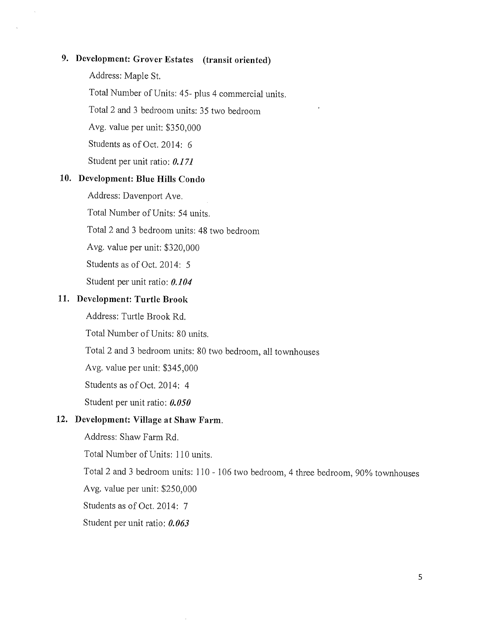# 9. Development: Grover Estates (transit oriented)

Address: Maple St.

 $\bar{z}$ 

Total Number of Units: 45- plus 4 commercial units.

 $\epsilon$ 

Total 2 and 3 bedroom units: 35 two bedroom

Avg. value per unit: \$350,000

Students as of Oct. 2014: 6

Student per unit ratio: 0.171

#### 10. Development: Blue Hills Condo

Address: Davenport Ave.

Total Number of Units: 54 units.

Total 2 and 3 bedroom units: 48 two bedroom

Avg. value per unit: \$320,000

Students as of Oct. 2014: 5

Student per unit ratio: 0.104

#### 11. Development: Turtle Brook

Address: Turtle Brook Rd.

Total Number of Units: 80 units.

Total 2 and 3 bedroom units: 80 two bedroom, all townhouses

Avg. value per unit: \$345,000

Students as of Oct. 2014: 4

Student per unit ratio: 0.050

#### 12. Development: Village at Shaw Farm.

Address: Shaw Farm Rd.

Total Number of Units: 110 units.

Total 2 and 3 bedroom units: 110 - 106 two bedroom, 4 three bedroom, 90% townhouses Avg. value per unit: \$250,000

Students as of Oct. 2014: 7

Student per unit ratio: 0.063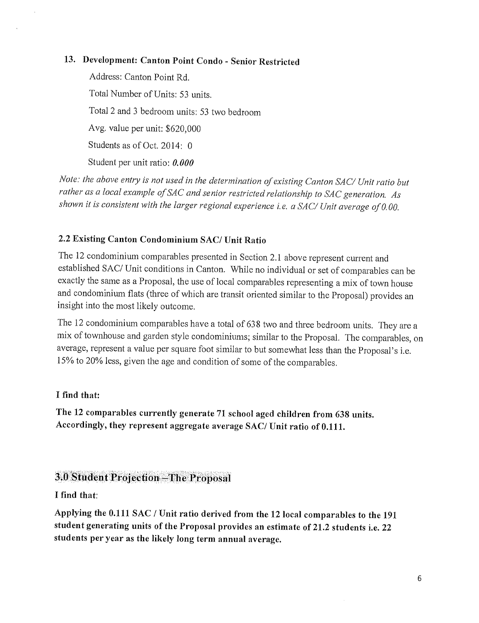# 13. Development: Canton Point Condo - Senior Restricted

Address: Canton Point Rd. Total Number of Units: 53 units. Total 2 and 3 bedroom units: 53 two bedroom Avg. value per unit: \$620,000 Students as of Oct. 2014: 0 Student per unit ratio: *0.000* 

*Note: the above entry is not used in the determination of existing Canton SAC/ Unit ratio but rather as a local example of SAC and senior restricted relationship to SAC generation. As shown it is consistent with the larger regional experience i.e. a SAC/ Unit average of 0,00.* 

## 2.2 Existing Canton Condominium SAC/ Unit Ratio

The 12 condominium comparables presented in Section 2.1 above represent current and established SAC/ Unit conditions in Canton. While no individual or set of comparables can be exactly the same as a Proposal, the use of local comparables representing a mix of town house and condominium flats (three of which are transit oriented similar to the Proposal) provides an insight into the most likely outcome.

The 12 condominium comparables have a total of 638 two and three bedroom units. They are a mix of townhouse and garden style condominiums; similar to the Proposal. The comparables, on average, represent a value per square foot similar to but somewhat less than the Proposal's i.e. 15% to 20% less, given the age and condition of some of the comparables.

### I find that:

The 12 comparables currently generate 71 school aged children from 638 units. Accordingly, they represent aggregate average SAC/ Unit ratio of 0.111.

# 3.0 Student Projection - The Proposal

I find that:

Applying the 0.111 SAC / Unit ratio derived from the 12 local comparables to the 191 student generating units of the Proposal provides an estimate of 21.2 students i.e. 22 students per year as the likely long term annual average.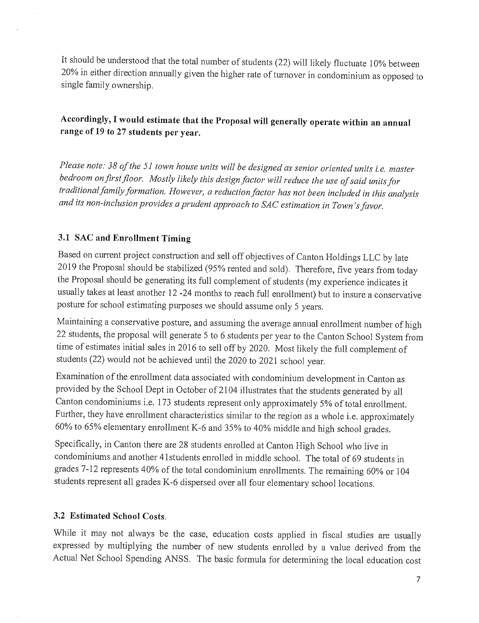It should be understood that the total number of students (22) will likely fluctuate 10% between 20% in either direction annually given the higher rate of turnover in condominium as opposed to single family ownership.

# Accordingly, I would estimate that the Proposal will generally operate within an annual range of 19 to 27 students per year.

*Please note: 38 of the 51 town house units will be designed as senior oriented units i.e. master bedroom on first floor. Mostly likely this design factor will reduce the use of said units for traditional family formation. However, a reduction factor has not been included in this analysis and its non-inclusion provides a prudent approach to SAC estimation in Town's favor.* 

### 3.1 SAC and Enrollment Timing

Based on current project construction and sell off objectives of Canton Holdings LLC by late 2019 the Proposal should be stabilized (95% rented and sold). Therefore, five years from today the Proposal should be generating its full complement of students (my experience indicates it usually takes at least another 12 -24 months to reach full enrollment) but to insure a conservative posture for school estimating purposes we should assume only 5 years.

Maintaining a conservative posture, and assuming the average annual enrollment number of high 22 students, the proposal will generate 5 to 6 students per year to the Canton School System from time of estimates initial sales in 2016 to sell off by 2020. Most likely the full complement of students (22) would not be achieved until the 2020 to 2021 school year.

Examination of the enrollment data associated with condominium development in Canton as provided by the School Dept in October of 2104 illustrates that the students generated by all Canton condominiums i.e. 173 students represent only approximately 5% of total enrollment. Further, they have enrollment characteristics similar to the region as a whole i.e. approximately 60% to 65% elementary enrollment K-6 and 35% to 40% middle and high school grades.

Specifically, in Canton there are 28 students enrolled at Canton High School who live in condominiums and another 41students enrolled in middle school. The total of 69 students in grades 7-12 represents 40% of the total condominium enrollments. The remaining 60% or 104 students represent all grades K-6 dispersed over all four elementary school locations.

### 3.2 Estimated School Costs.

While it may not always be the case, education costs applied in fiscal studies are usually expressed by multiplying the number of new students enrolled by a value derived from the Actual Net School Spending ANSS. The basic formula for determining the local education cost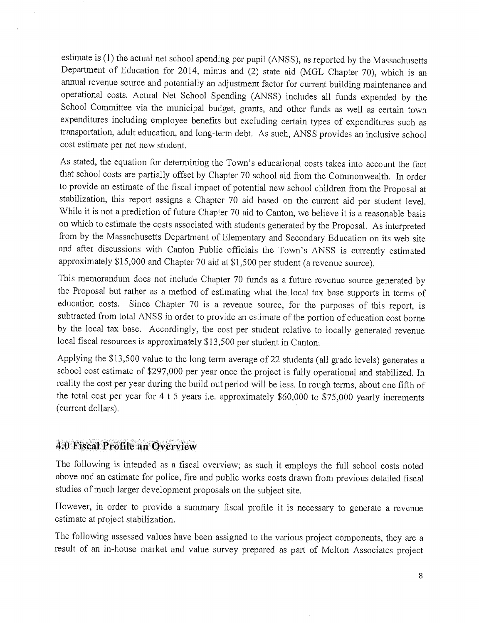estimate is (1) the actual net school spending per pupil (ANSS), as reported by the Massachusetts Department of Education for 2014, minus and (2) state aid (MGL Chapter 70), which is an annual revenue source and potentially an adjustment factor for current building maintenance and operational costs. Actual Net School Spending (ANSS) includes all funds expended by the School Committee via the municipal budget, grants, and other funds as well as certain town expenditures including employee benefits but excluding certain types of expenditures such as transportation, adult education, and long-term debt. As such, ANSS provides an inclusive school cost estimate per net new student.

As stated, the equation for determining the Town's educational costs takes into account the fact that school costs are partially offset by Chapter 70 school aid from the Commonwealth. In order to provide an estimate of the fiscal impact of potential new school children from the Proposal at stabilization, this report assigns a Chapter 70 aid based on the current aid per student level. While it is not a prediction of future Chapter 70 aid to Canton, we believe it is a reasonable basis on which to estimate the costs associated with students generated by the Proposal. As interpreted from by the Massachusetts Department of Elementary and Secondary Education on its web site and after discussions with Canton Public officials the Town's ANSS is currently estimated approximately \$15,000 and Chapter 70 aid at \$1,500 per student (a revenue source).

This memorandum does not include Chapter 70 funds as a future revenue source generated by the Proposal but rather as a method of estimating what the local tax base supports in terms of education costs. Since Chapter 70 is a revenue source, for the purposes of this report, is subtracted from total ANSS in order to provide an estimate of the portion of education cost borne by the local tax base. Accordingly, the cost per student relative to locally generated revenue local fiscal resources is approximately \$13,500 per student in Canton.

Applying the \$13,500 value to the long term average of 22 students (all grade levels) generates a school cost estimate of \$297,000 per year once the project is fully operational and stabilized. In reality the cost per year during the build out period will be less. In rough terms, about one fifth of the total cost per year for 4 t 5 years i.e. approximately \$60,000 to \$75,000 yearly increments (current dollars).

# 4.0 Fiscal Profile an Overview

The following is intended as a fiscal overview; as such it employs the full school costs noted above and an estimate for police, fire and public works costs drawn from previous detailed fiscal studies of much larger development proposals on the subject site.

However, in order to provide a summary fiscal profile it is necessary to generate a revenue estimate at project stabilization.

The following assessed values have been assigned to the various project components, they are a result of an in-house market and value survey prepared as part of Melton Associates project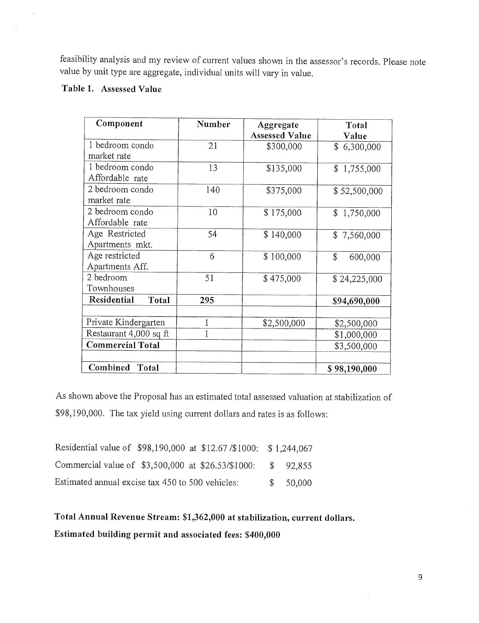feasibility analysis and my review of current values shown in the assessor's records. Please note value by unit type are aggregate, individual units will vary in value.

### Table 1. Assessed Value

 $\hat{t}$ 

| Component                   | Number | Aggregate             | Total                  |  |
|-----------------------------|--------|-----------------------|------------------------|--|
|                             |        | <b>Assessed Value</b> | Value                  |  |
| 1 bedroom condo             | 21     | \$300,000             | \$6,300,000            |  |
| market rate                 |        |                       |                        |  |
| 1 bedroom condo             | 13     | \$135,000             | \$1,755,000            |  |
| Affordable rate             |        |                       |                        |  |
| 2 bedroom condo             | 140    | \$375,000             | \$52,500,000           |  |
| market rate                 |        |                       |                        |  |
| 2 bedroom condo             | 10     | \$175,000             | \$1,750,000            |  |
| Affordable rate             |        |                       |                        |  |
| Age Restricted              | 54     | \$140,000             | \$7,560,000            |  |
| Apartments mkt.             |        |                       |                        |  |
| Age restricted              | 6      | \$100,000             | $\mathbf S$<br>600,000 |  |
| Apartments Aff.             |        |                       |                        |  |
| 2 bedroom                   | 51     | \$475,000             | \$24,225,000           |  |
| Townhouses                  |        |                       |                        |  |
| <b>Residential</b><br>Total | 295    |                       | \$94,690,000           |  |
|                             |        |                       |                        |  |
| Private Kindergarten        |        | \$2,500,000           | \$2,500,000            |  |
| Restaurant 4,000 sq ft      |        |                       | \$1,000,000            |  |
| <b>Commercial Total</b>     |        |                       | \$3,500,000            |  |
|                             |        |                       |                        |  |
| Combined<br>Total           |        |                       | \$98,190,000           |  |

As shown above the Proposal has an estimated total assessed valuation at stabilization of \$98,190,000. The tax yield using current dollars and rates is as follows:

| Residential value of \$98,190,000 at \$12.67/\$1000: \$1,244,067 |  |  |          |
|------------------------------------------------------------------|--|--|----------|
| Commercial value of \$3,500,000 at \$26.53/\$1000:               |  |  | \$92,855 |
| Estimated annual excise tax 450 to 500 vehicles:                 |  |  | \$50,000 |

Total Annual Revenue Stream: \$1,362,000 at stabilization, current dollars.

Estimated building permit and associated fees: \$400,000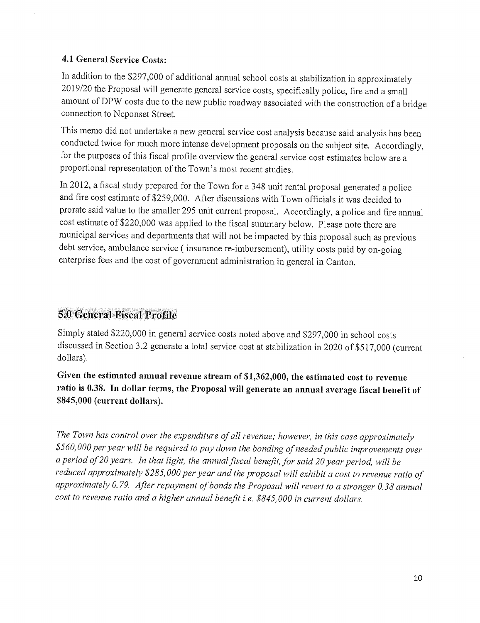### 4.1 General Service Costs:

In addition to the \$297,000 of additional annual school costs at stabilization in approximately 2019/20 the Proposal will generate general service costs, specifically police, fire and a small amount of DPW costs due to the new public roadway associated with the construction of a bridge connection to Neponset Street.

This memo did not undertake a new general service cost analysis because said analysis has been conducted twice for much more intense development proposals on the subject site. Accordingly, for the purposes of this fiscal profile overview the general service cost estimates below are a proportional representation of the Town's most recent studies.

In 2012, a fiscal study prepared for the Town for a 348 unit rental proposal generated a police and fire cost estimate of \$259,000. After discussions with Town officials it was decided to prorate said value to the smaller 295 unit current proposal. Accordingly, a police and fire annual cost estimate of \$220,000 was applied to the fiscal summary below. Please note there are municipal services and departments that will not be impacted by this proposal such as previous debt service, ambulance service ( insurance re-imbursement), utility costs paid by on-going enterprise fees and the cost of government administration in general in Canton.

# **Ge**neral Fiscal Profile

Simply stated \$220,000 in general service costs noted above and \$297,000 in school costs discussed in Section 3.2 generate a total service cost at stabilization in 2020 of \$517,000 (current dollars).

Given the estimated annual revenue stream of \$1,362,000, the estimated cost to revenue ratio is 0.38. In dollar terms, the Proposal will generate an annual average fiscal benefit of \$845,000 (current dollars).

*The Town has control over the expenditure of all revenue; however, in this case approximately \$560,000 per year will be required to pay down the bonding of needed public improvements over a period of 20 years. In that light, the annual fiscal benefit, for said 20 year period, will be reduced approximately \$285,000 per year and the proposal will exhibit a cost to revenue ratio of approximately 0.79. After repayment of bonds the Proposal will revert to a stronger 0.38 annual cost to revenue ratio and a higher annual benefit i.e. \$845,000 in current dollars.*